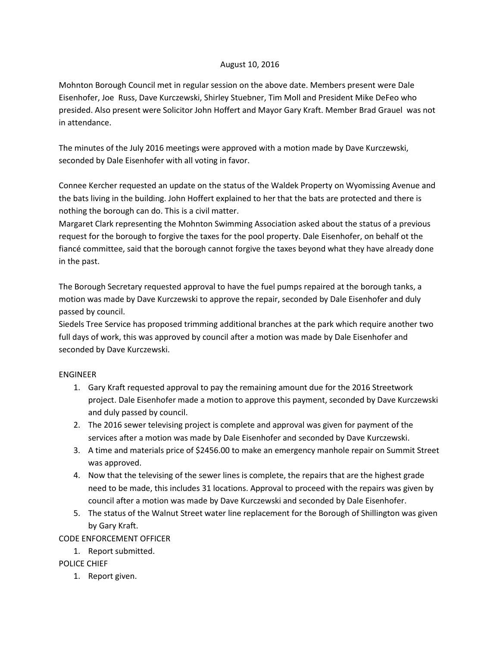### August 10, 2016

Mohnton Borough Council met in regular session on the above date. Members present were Dale Eisenhofer, Joe Russ, Dave Kurczewski, Shirley Stuebner, Tim Moll and President Mike DeFeo who presided. Also present were Solicitor John Hoffert and Mayor Gary Kraft. Member Brad Grauel was not in attendance.

The minutes of the July 2016 meetings were approved with a motion made by Dave Kurczewski, seconded by Dale Eisenhofer with all voting in favor.

Connee Kercher requested an update on the status of the Waldek Property on Wyomissing Avenue and the bats living in the building. John Hoffert explained to her that the bats are protected and there is nothing the borough can do. This is a civil matter.

Margaret Clark representing the Mohnton Swimming Association asked about the status of a previous request for the borough to forgive the taxes for the pool property. Dale Eisenhofer, on behalf ot the fiancé committee, said that the borough cannot forgive the taxes beyond what they have already done in the past.

The Borough Secretary requested approval to have the fuel pumps repaired at the borough tanks, a motion was made by Dave Kurczewski to approve the repair, seconded by Dale Eisenhofer and duly passed by council.

Siedels Tree Service has proposed trimming additional branches at the park which require another two full days of work, this was approved by council after a motion was made by Dale Eisenhofer and seconded by Dave Kurczewski.

# ENGINEER

- 1. Gary Kraft requested approval to pay the remaining amount due for the 2016 Streetwork project. Dale Eisenhofer made a motion to approve this payment, seconded by Dave Kurczewski and duly passed by council.
- 2. The 2016 sewer televising project is complete and approval was given for payment of the services after a motion was made by Dale Eisenhofer and seconded by Dave Kurczewski.
- 3. A time and materials price of \$2456.00 to make an emergency manhole repair on Summit Street was approved.
- 4. Now that the televising of the sewer lines is complete, the repairs that are the highest grade need to be made, this includes 31 locations. Approval to proceed with the repairs was given by council after a motion was made by Dave Kurczewski and seconded by Dale Eisenhofer.
- 5. The status of the Walnut Street water line replacement for the Borough of Shillington was given by Gary Kraft.

# CODE ENFORCEMENT OFFICER

1. Report submitted.

# POLICE CHIEF

1. Report given.